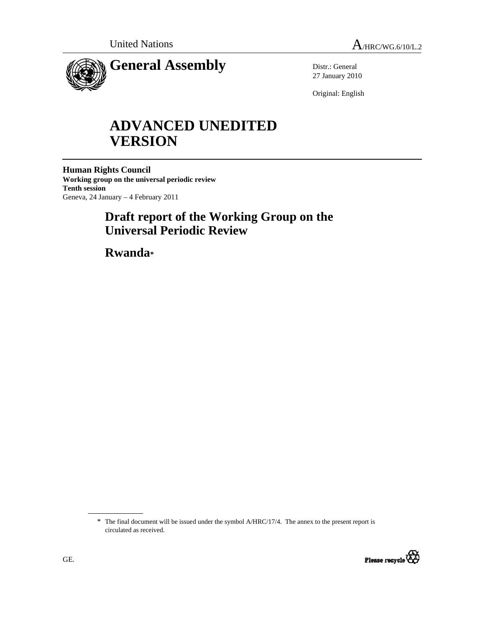

Distr.: General 27 January 2010

Original: English

# **ADVANCED UNEDITED VERSION**

**Human Rights Council Working group on the universal periodic review Tenth session**  Geneva, 24 January – 4 February 2011

## **Draft report of the Working Group on the Universal Periodic Review**

 **Rwanda\***

<sup>\*</sup> The final document will be issued under the symbol A/HRC/17/4. The annex to the present report is circulated as received.

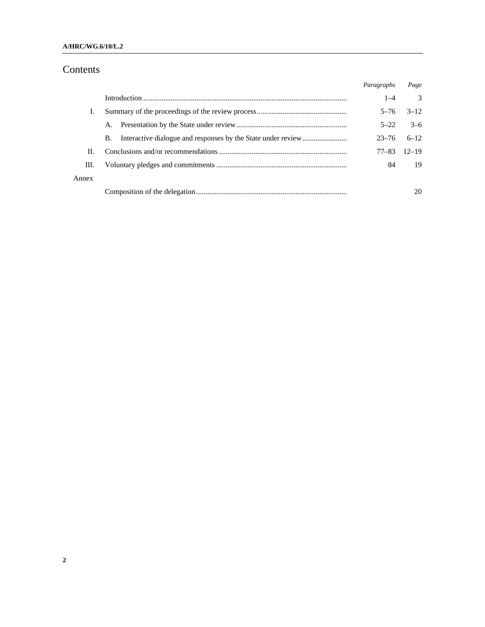#### **A/HRC/WG.6/10/L.2**

## Contents

|       |    | Paragraphs | Page          |
|-------|----|------------|---------------|
|       |    | $1 - 4$    | $\mathcal{F}$ |
|       |    | $5 - 76$   | $3 - 12$      |
|       |    | $5 - 22$   | $3-6$         |
|       | В. | $23 - 76$  | $6-12$        |
| Н.    |    | 77–83      | $12 - 19$     |
| III.  |    | 84         | 19            |
| Annex |    |            |               |
|       |    |            | 20            |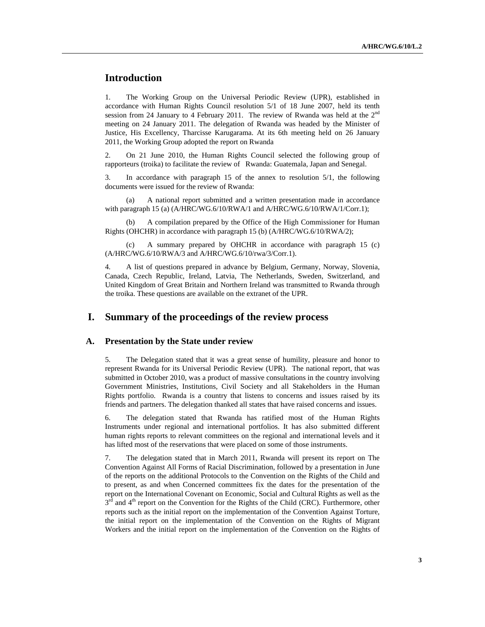## **Introduction**

1. The Working Group on the Universal Periodic Review (UPR), established in accordance with Human Rights Council resolution 5/1 of 18 June 2007, held its tenth session from 24 January to 4 February 2011. The review of Rwanda was held at the  $2<sup>nd</sup>$ meeting on 24 January 2011. The delegation of Rwanda was headed by the Minister of Justice, His Excellency, Tharcisse Karugarama. At its 6th meeting held on 26 January 2011, the Working Group adopted the report on Rwanda

2. On 21 June 2010, the Human Rights Council selected the following group of rapporteurs (troika) to facilitate the review of Rwanda: Guatemala, Japan and Senegal.

3. In accordance with paragraph 15 of the annex to resolution 5/1, the following documents were issued for the review of Rwanda:

 (a) A national report submitted and a written presentation made in accordance with paragraph 15 (a) (A/HRC/WG.6/10/RWA/1 and A/HRC/WG.6/10/RWA/1/Corr.1);

 (b) A compilation prepared by the Office of the High Commissioner for Human Rights (OHCHR) in accordance with paragraph 15 (b) (A/HRC/WG.6/10/RWA/2);

 (c) A summary prepared by OHCHR in accordance with paragraph 15 (c) (A/HRC/WG.6/10/RWA/3 and A/HRC/WG.6/10/rwa/3/Corr.1).

4. A list of questions prepared in advance by Belgium, Germany, Norway, Slovenia, Canada, Czech Republic, Ireland, Latvia, The Netherlands, Sweden, Switzerland, and United Kingdom of Great Britain and Northern Ireland was transmitted to Rwanda through the troika. These questions are available on the extranet of the UPR.

### **I. Summary of the proceedings of the review process**

#### **A. Presentation by the State under review**

5. The Delegation stated that it was a great sense of humility, pleasure and honor to represent Rwanda for its Universal Periodic Review (UPR). The national report, that was submitted in October 2010, was a product of massive consultations in the country involving Government Ministries, Institutions, Civil Society and all Stakeholders in the Human Rights portfolio. Rwanda is a country that listens to concerns and issues raised by its friends and partners. The delegation thanked all states that have raised concerns and issues.

6. The delegation stated that Rwanda has ratified most of the Human Rights Instruments under regional and international portfolios. It has also submitted different human rights reports to relevant committees on the regional and international levels and it has lifted most of the reservations that were placed on some of those instruments.

7. The delegation stated that in March 2011, Rwanda will present its report on The Convention Against All Forms of Racial Discrimination, followed by a presentation in June of the reports on the additional Protocols to the Convention on the Rights of the Child and to present, as and when Concerned committees fix the dates for the presentation of the report on the International Covenant on Economic, Social and Cultural Rights as well as the  $3<sup>rd</sup>$  and  $4<sup>th</sup>$  report on the Convention for the Rights of the Child (CRC). Furthermore, other reports such as the initial report on the implementation of the Convention Against Torture, the initial report on the implementation of the Convention on the Rights of Migrant Workers and the initial report on the implementation of the Convention on the Rights of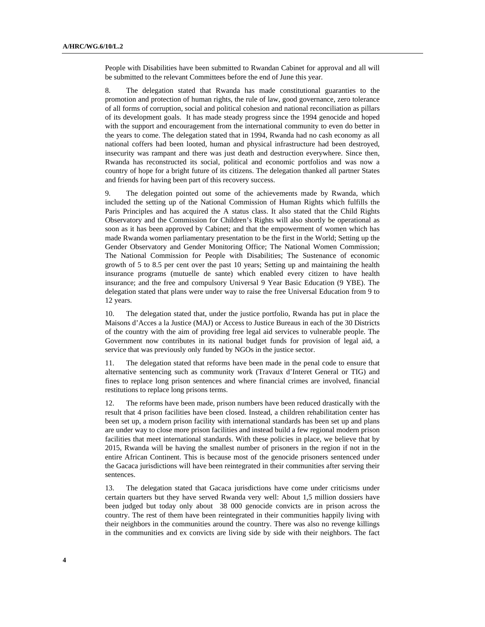People with Disabilities have been submitted to Rwandan Cabinet for approval and all will be submitted to the relevant Committees before the end of June this year.

8. The delegation stated that Rwanda has made constitutional guaranties to the promotion and protection of human rights, the rule of law, good governance, zero tolerance of all forms of corruption, social and political cohesion and national reconciliation as pillars of its development goals. It has made steady progress since the 1994 genocide and hoped with the support and encouragement from the international community to even do better in the years to come. The delegation stated that in 1994, Rwanda had no cash economy as all national coffers had been looted, human and physical infrastructure had been destroyed, insecurity was rampant and there was just death and destruction everywhere. Since then, Rwanda has reconstructed its social, political and economic portfolios and was now a country of hope for a bright future of its citizens. The delegation thanked all partner States and friends for having been part of this recovery success.

9. The delegation pointed out some of the achievements made by Rwanda, which included the setting up of the National Commission of Human Rights which fulfills the Paris Principles and has acquired the A status class. It also stated that the Child Rights Observatory and the Commission for Children's Rights will also shortly be operational as soon as it has been approved by Cabinet; and that the empowerment of women which has made Rwanda women parliamentary presentation to be the first in the World; Setting up the Gender Observatory and Gender Monitoring Office; The National Women Commission; The National Commission for People with Disabilities; The Sustenance of economic growth of 5 to 8.5 per cent over the past 10 years; Setting up and maintaining the health insurance programs (mutuelle de sante) which enabled every citizen to have health insurance; and the free and compulsory Universal 9 Year Basic Education (9 YBE). The delegation stated that plans were under way to raise the free Universal Education from 9 to 12 years.

10. The delegation stated that, under the justice portfolio, Rwanda has put in place the Maisons d'Acces a la Justice (MAJ) or Access to Justice Bureaus in each of the 30 Districts of the country with the aim of providing free legal aid services to vulnerable people. The Government now contributes in its national budget funds for provision of legal aid, a service that was previously only funded by NGOs in the justice sector.

11. The delegation stated that reforms have been made in the penal code to ensure that alternative sentencing such as community work (Travaux d'Interet General or TIG) and fines to replace long prison sentences and where financial crimes are involved, financial restitutions to replace long prisons terms.

12. The reforms have been made, prison numbers have been reduced drastically with the result that 4 prison facilities have been closed. Instead, a children rehabilitation center has been set up, a modern prison facility with international standards has been set up and plans are under way to close more prison facilities and instead build a few regional modern prison facilities that meet international standards. With these policies in place, we believe that by 2015, Rwanda will be having the smallest number of prisoners in the region if not in the entire African Continent. This is because most of the genocide prisoners sentenced under the Gacaca jurisdictions will have been reintegrated in their communities after serving their sentences.

13. The delegation stated that Gacaca jurisdictions have come under criticisms under certain quarters but they have served Rwanda very well: About 1,5 million dossiers have been judged but today only about 38 000 genocide convicts are in prison across the country. The rest of them have been reintegrated in their communities happily living with their neighbors in the communities around the country. There was also no revenge killings in the communities and ex convicts are living side by side with their neighbors. The fact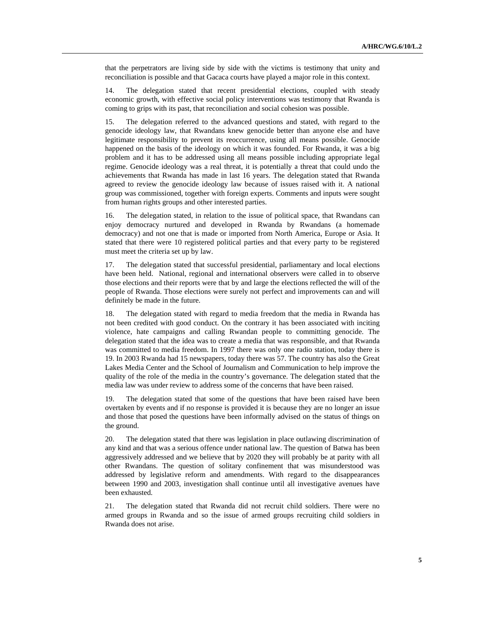that the perpetrators are living side by side with the victims is testimony that unity and reconciliation is possible and that Gacaca courts have played a major role in this context.

14. The delegation stated that recent presidential elections, coupled with steady economic growth, with effective social policy interventions was testimony that Rwanda is coming to grips with its past, that reconciliation and social cohesion was possible.

15. The delegation referred to the advanced questions and stated, with regard to the genocide ideology law, that Rwandans knew genocide better than anyone else and have legitimate responsibility to prevent its reoccurrence, using all means possible. Genocide happened on the basis of the ideology on which it was founded. For Rwanda, it was a big problem and it has to be addressed using all means possible including appropriate legal regime. Genocide ideology was a real threat, it is potentially a threat that could undo the achievements that Rwanda has made in last 16 years. The delegation stated that Rwanda agreed to review the genocide ideology law because of issues raised with it. A national group was commissioned, together with foreign experts. Comments and inputs were sought from human rights groups and other interested parties.

16. The delegation stated, in relation to the issue of political space, that Rwandans can enjoy democracy nurtured and developed in Rwanda by Rwandans (a homemade democracy) and not one that is made or imported from North America, Europe or Asia. It stated that there were 10 registered political parties and that every party to be registered must meet the criteria set up by law.

17. The delegation stated that successful presidential, parliamentary and local elections have been held. National, regional and international observers were called in to observe those elections and their reports were that by and large the elections reflected the will of the people of Rwanda. Those elections were surely not perfect and improvements can and will definitely be made in the future.

18. The delegation stated with regard to media freedom that the media in Rwanda has not been credited with good conduct. On the contrary it has been associated with inciting violence, hate campaigns and calling Rwandan people to committing genocide. The delegation stated that the idea was to create a media that was responsible, and that Rwanda was committed to media freedom. In 1997 there was only one radio station, today there is 19. In 2003 Rwanda had 15 newspapers, today there was 57. The country has also the Great Lakes Media Center and the School of Journalism and Communication to help improve the quality of the role of the media in the country's governance. The delegation stated that the media law was under review to address some of the concerns that have been raised.

19. The delegation stated that some of the questions that have been raised have been overtaken by events and if no response is provided it is because they are no longer an issue and those that posed the questions have been informally advised on the status of things on the ground.

20. The delegation stated that there was legislation in place outlawing discrimination of any kind and that was a serious offence under national law. The question of Batwa has been aggressively addressed and we believe that by 2020 they will probably be at parity with all other Rwandans. The question of solitary confinement that was misunderstood was addressed by legislative reform and amendments. With regard to the disappearances between 1990 and 2003, investigation shall continue until all investigative avenues have been exhausted.

21. The delegation stated that Rwanda did not recruit child soldiers. There were no armed groups in Rwanda and so the issue of armed groups recruiting child soldiers in Rwanda does not arise.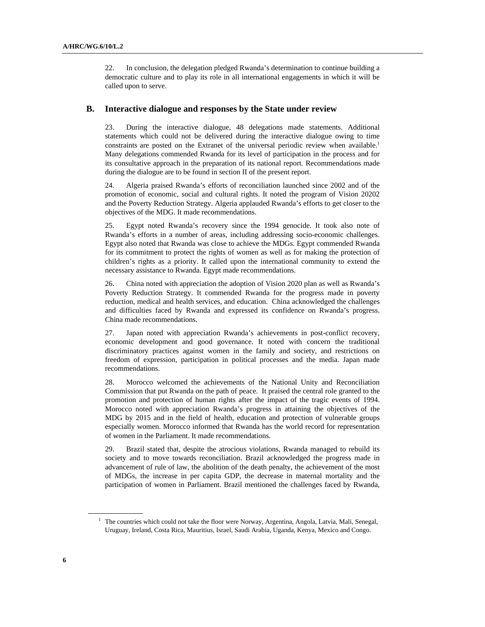22. In conclusion, the delegation pledged Rwanda's determination to continue building a democratic culture and to play its role in all international engagements in which it will be called upon to serve.

#### **B. Interactive dialogue and responses by the State under review**

23. During the interactive dialogue, 48 delegations made statements. Additional statements which could not be delivered during the interactive dialogue owing to time constraints are posted on the Extranet of the universal periodic review when available.<sup>1</sup> Many delegations commended Rwanda for its level of participation in the process and for its consultative approach in the preparation of its national report. Recommendations made during the dialogue are to be found in section II of the present report.

24. Algeria praised Rwanda's efforts of reconciliation launched since 2002 and of the promotion of economic, social and cultural rights. It noted the program of Vision 20202 and the Poverty Reduction Strategy. Algeria applauded Rwanda's efforts to get closer to the objectives of the MDG. It made recommendations.

25. Egypt noted Rwanda's recovery since the 1994 genocide. It took also note of Rwanda's efforts in a number of areas, including addressing socio-economic challenges. Egypt also noted that Rwanda was close to achieve the MDGs. Egypt commended Rwanda for its commitment to protect the rights of women as well as for making the protection of children's rights as a priority. It called upon the international community to extend the necessary assistance to Rwanda. Egypt made recommendations.

26. China noted with appreciation the adoption of Vision 2020 plan as well as Rwanda's Poverty Reduction Strategy. It commended Rwanda for the progress made in poverty reduction, medical and health services, and education. China acknowledged the challenges and difficulties faced by Rwanda and expressed its confidence on Rwanda's progress. China made recommendations.

27. Japan noted with appreciation Rwanda's achievements in post-conflict recovery, economic development and good governance. It noted with concern the traditional discriminatory practices against women in the family and society, and restrictions on freedom of expression, participation in political processes and the media. Japan made recommendations.

28. Morocco welcomed the achievements of the National Unity and Reconciliation Commission that put Rwanda on the path of peace. It praised the central role granted to the promotion and protection of human rights after the impact of the tragic events of 1994. Morocco noted with appreciation Rwanda's progress in attaining the objectives of the MDG by 2015 and in the field of health, education and protection of vulnerable groups especially women. Morocco informed that Rwanda has the world record for representation of women in the Parliament. It made recommendations.

29. Brazil stated that, despite the atrocious violations, Rwanda managed to rebuild its society and to move towards reconciliation. Brazil acknowledged the progress made in advancement of rule of law, the abolition of the death penalty, the achievement of the most of MDGs, the increase in per capita GDP, the decrease in maternal mortality and the participation of women in Parliament. Brazil mentioned the challenges faced by Rwanda,

<sup>&</sup>lt;sup>1</sup> The countries which could not take the floor were Norway, Argentina, Angola, Latvia, Mali, Senegal, Uruguay, Ireland, Costa Rica, Mauritius, Israel, Saudi Arabia, Uganda, Kenya, Mexico and Congo.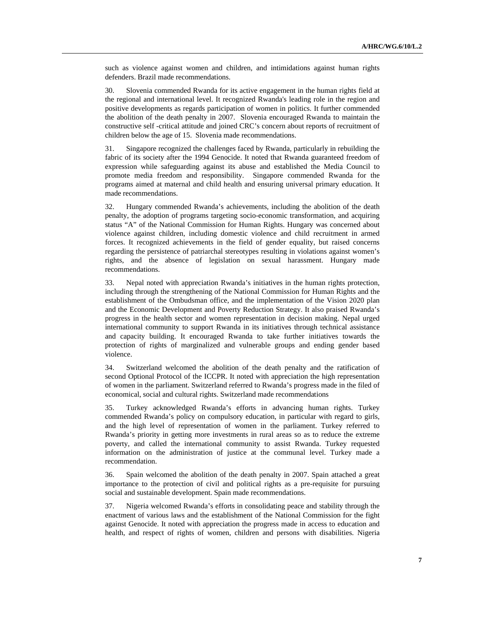such as violence against women and children, and intimidations against human rights defenders. Brazil made recommendations.

30. Slovenia commended Rwanda for its active engagement in the human rights field at the regional and international level. It recognized Rwanda's leading role in the region and positive developments as regards participation of women in politics. It further commended the abolition of the death penalty in 2007. Slovenia encouraged Rwanda to maintain the constructive self -critical attitude and joined CRC's concern about reports of recruitment of children below the age of 15. Slovenia made recommendations.

31. Singapore recognized the challenges faced by Rwanda, particularly in rebuilding the fabric of its society after the 1994 Genocide. It noted that Rwanda guaranteed freedom of expression while safeguarding against its abuse and established the Media Council to promote media freedom and responsibility. Singapore commended Rwanda for the programs aimed at maternal and child health and ensuring universal primary education. It made recommendations.

32. Hungary commended Rwanda's achievements, including the abolition of the death penalty, the adoption of programs targeting socio-economic transformation, and acquiring status "A" of the National Commission for Human Rights. Hungary was concerned about violence against children, including domestic violence and child recruitment in armed forces. It recognized achievements in the field of gender equality, but raised concerns regarding the persistence of patriarchal stereotypes resulting in violations against women's rights, and the absence of legislation on sexual harassment. Hungary made recommendations.

33. Nepal noted with appreciation Rwanda's initiatives in the human rights protection, including through the strengthening of the National Commission for Human Rights and the establishment of the Ombudsman office, and the implementation of the Vision 2020 plan and the Economic Development and Poverty Reduction Strategy. It also praised Rwanda's progress in the health sector and women representation in decision making. Nepal urged international community to support Rwanda in its initiatives through technical assistance and capacity building. It encouraged Rwanda to take further initiatives towards the protection of rights of marginalized and vulnerable groups and ending gender based violence.

34. Switzerland welcomed the abolition of the death penalty and the ratification of second Optional Protocol of the ICCPR. It noted with appreciation the high representation of women in the parliament. Switzerland referred to Rwanda's progress made in the filed of economical, social and cultural rights. Switzerland made recommendations

35. Turkey acknowledged Rwanda's efforts in advancing human rights. Turkey commended Rwanda's policy on compulsory education, in particular with regard to girls, and the high level of representation of women in the parliament. Turkey referred to Rwanda's priority in getting more investments in rural areas so as to reduce the extreme poverty, and called the international community to assist Rwanda. Turkey requested information on the administration of justice at the communal level. Turkey made a recommendation.

36. Spain welcomed the abolition of the death penalty in 2007. Spain attached a great importance to the protection of civil and political rights as a pre-requisite for pursuing social and sustainable development. Spain made recommendations.

37. Nigeria welcomed Rwanda's efforts in consolidating peace and stability through the enactment of various laws and the establishment of the National Commission for the fight against Genocide. It noted with appreciation the progress made in access to education and health, and respect of rights of women, children and persons with disabilities. Nigeria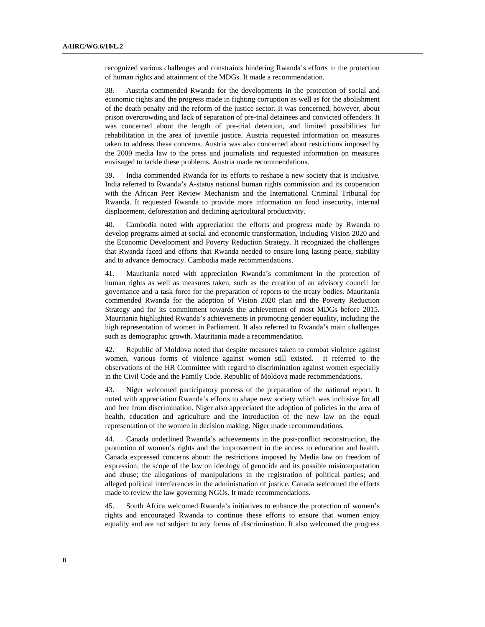recognized various challenges and constraints hindering Rwanda's efforts in the protection of human rights and attainment of the MDGs. It made a recommendation.

38. Austria commended Rwanda for the developments in the protection of social and economic rights and the progress made in fighting corruption as well as for the abolishment of the death penalty and the reform of the justice sector. It was concerned, however, about prison overcrowding and lack of separation of pre-trial detainees and convicted offenders. It was concerned about the length of pre-trial detention, and limited possibilities for rehabilitation in the area of juvenile justice. Austria requested information on measures taken to address these concerns. Austria was also concerned about restrictions imposed by the 2009 media law to the press and journalists and requested information on measures envisaged to tackle these problems. Austria made recommendations.

39. India commended Rwanda for its efforts to reshape a new society that is inclusive. India referred to Rwanda's A-status national human rights commission and its cooperation with the African Peer Review Mechanism and the International Criminal Tribunal for Rwanda. It requested Rwanda to provide more information on food insecurity, internal displacement, deforestation and declining agricultural productivity.

40. Cambodia noted with appreciation the efforts and progress made by Rwanda to develop programs aimed at social and economic transformation, including Vision 2020 and the Economic Development and Poverty Reduction Strategy. It recognized the challenges that Rwanda faced and efforts that Rwanda needed to ensure long lasting peace, stability and to advance democracy. Cambodia made recommendations.

41. Mauritania noted with appreciation Rwanda's commitment in the protection of human rights as well as measures taken, such as the creation of an advisory council for governance and a task force for the preparation of reports to the treaty bodies. Mauritania commended Rwanda for the adoption of Vision 2020 plan and the Poverty Reduction Strategy and for its commitment towards the achievement of most MDGs before 2015. Mauritania highlighted Rwanda's achievements in promoting gender equality, including the high representation of women in Parliament. It also referred to Rwanda's main challenges such as demographic growth. Mauritania made a recommendation.

42. Republic of Moldova noted that despite measures taken to combat violence against women, various forms of violence against women still existed. It referred to the observations of the HR Committee with regard to discrimination against women especially in the Civil Code and the Family Code. Republic of Moldova made recommendations.

43. Niger welcomed participatory process of the preparation of the national report. It noted with appreciation Rwanda's efforts to shape new society which was inclusive for all and free from discrimination. Niger also appreciated the adoption of policies in the area of health, education and agriculture and the introduction of the new law on the equal representation of the women in decision making. Niger made recommendations.

44. Canada underlined Rwanda's achievements in the post-conflict reconstruction, the promotion of women's rights and the improvement in the access to education and health. Canada expressed concerns about: the restrictions imposed by Media law on freedom of expression; the scope of the law on ideology of genocide and its possible misinterpretation and abuse; the allegations of manipulations in the registration of political parties; and alleged political interferences in the administration of justice. Canada welcomed the efforts made to review the law governing NGOs. It made recommendations.

45. South Africa welcomed Rwanda's initiatives to enhance the protection of women's rights and encouraged Rwanda to continue these efforts to ensure that women enjoy equality and are not subject to any forms of discrimination. It also welcomed the progress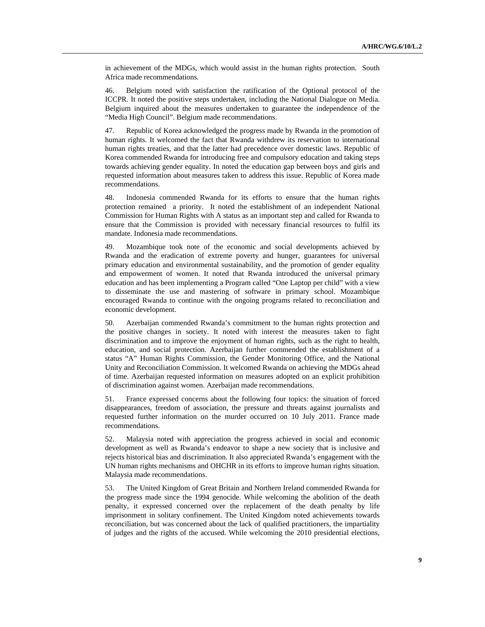in achievement of the MDGs, which would assist in the human rights protection. South Africa made recommendations.

46. Belgium noted with satisfaction the ratification of the Optional protocol of the ICCPR. It noted the positive steps undertaken, including the National Dialogue on Media. Belgium inquired about the measures undertaken to guarantee the independence of the "Media High Council". Belgium made recommendations.

47. Republic of Korea acknowledged the progress made by Rwanda in the promotion of human rights. It welcomed the fact that Rwanda withdrew its reservation to international human rights treaties, and that the latter had precedence over domestic laws. Republic of Korea commended Rwanda for introducing free and compulsory education and taking steps towards achieving gender equality. In noted the education gap between boys and girls and requested information about measures taken to address this issue. Republic of Korea made recommendations.

48. Indonesia commended Rwanda for its efforts to ensure that the human rights protection remained a priority. It noted the establishment of an independent National Commission for Human Rights with A status as an important step and called for Rwanda to ensure that the Commission is provided with necessary financial resources to fulfil its mandate. Indonesia made recommendations.

49. Mozambique took note of the economic and social developments achieved by Rwanda and the eradication of extreme poverty and hunger, guarantees for universal primary education and environmental sustainability, and the promotion of gender equality and empowerment of women. It noted that Rwanda introduced the universal primary education and has been implementing a Program called "One Laptop per child" with a view to disseminate the use and mastering of software in primary school. Mozambique encouraged Rwanda to continue with the ongoing programs related to reconciliation and economic development.

50. Azerbaijan commended Rwanda's commitment to the human rights protection and the positive changes in society. It noted with interest the measures taken to fight discrimination and to improve the enjoyment of human rights, such as the right to health, education, and social protection. Azerbaijan further commended the establishment of a status "A" Human Rights Commission, the Gender Monitoring Office, and the National Unity and Reconciliation Commission. It welcomed Rwanda on achieving the MDGs ahead of time. Azerbaijan requested information on measures adopted on an explicit prohibition of discrimination against women. Azerbaijan made recommendations.

51. France expressed concerns about the following four topics: the situation of forced disappearances, freedom of association, the pressure and threats against journalists and requested further information on the murder occurred on 10 July 2011. France made recommendations.

52. Malaysia noted with appreciation the progress achieved in social and economic development as well as Rwanda's endeavor to shape a new society that is inclusive and rejects historical bias and discrimination. It also appreciated Rwanda's engagement with the UN human rights mechanisms and OHCHR in its efforts to improve human rights situation. Malaysia made recommendations.

53. The United Kingdom of Great Britain and Northern Ireland commended Rwanda for the progress made since the 1994 genocide. While welcoming the abolition of the death penalty, it expressed concerned over the replacement of the death penalty by life imprisonment in solitary confinement. The United Kingdom noted achievements towards reconciliation, but was concerned about the lack of qualified practitioners, the impartiality of judges and the rights of the accused. While welcoming the 2010 presidential elections,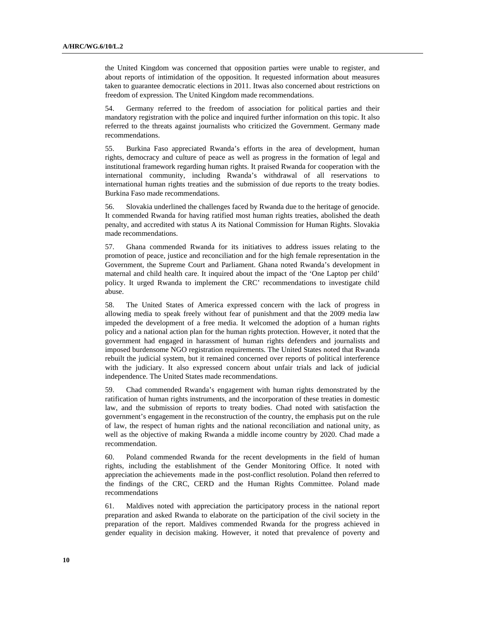the United Kingdom was concerned that opposition parties were unable to register, and about reports of intimidation of the opposition. It requested information about measures taken to guarantee democratic elections in 2011. Itwas also concerned about restrictions on freedom of expression. The United Kingdom made recommendations.

54. Germany referred to the freedom of association for political parties and their mandatory registration with the police and inquired further information on this topic. It also referred to the threats against journalists who criticized the Government. Germany made recommendations.

55. Burkina Faso appreciated Rwanda's efforts in the area of development, human rights, democracy and culture of peace as well as progress in the formation of legal and institutional framework regarding human rights. It praised Rwanda for cooperation with the international community, including Rwanda's withdrawal of all reservations to international human rights treaties and the submission of due reports to the treaty bodies. Burkina Faso made recommendations.

56. Slovakia underlined the challenges faced by Rwanda due to the heritage of genocide. It commended Rwanda for having ratified most human rights treaties, abolished the death penalty, and accredited with status A its National Commission for Human Rights. Slovakia made recommendations.

57. Ghana commended Rwanda for its initiatives to address issues relating to the promotion of peace, justice and reconciliation and for the high female representation in the Government, the Supreme Court and Parliament. Ghana noted Rwanda's development in maternal and child health care. It inquired about the impact of the 'One Laptop per child' policy. It urged Rwanda to implement the CRC' recommendations to investigate child abuse.

58. The United States of America expressed concern with the lack of progress in allowing media to speak freely without fear of punishment and that the 2009 media law impeded the development of a free media. It welcomed the adoption of a human rights policy and a national action plan for the human rights protection. However, it noted that the government had engaged in harassment of human rights defenders and journalists and imposed burdensome NGO registration requirements. The United States noted that Rwanda rebuilt the judicial system, but it remained concerned over reports of political interference with the judiciary. It also expressed concern about unfair trials and lack of judicial independence. The United States made recommendations.

59. Chad commended Rwanda's engagement with human rights demonstrated by the ratification of human rights instruments, and the incorporation of these treaties in domestic law, and the submission of reports to treaty bodies. Chad noted with satisfaction the government's engagement in the reconstruction of the country, the emphasis put on the rule of law, the respect of human rights and the national reconciliation and national unity, as well as the objective of making Rwanda a middle income country by 2020. Chad made a recommendation.

60. Poland commended Rwanda for the recent developments in the field of human rights, including the establishment of the Gender Monitoring Office. It noted with appreciation the achievements made in the post-conflict resolution. Poland then referred to the findings of the CRC, CERD and the Human Rights Committee. Poland made recommendations

61. Maldives noted with appreciation the participatory process in the national report preparation and asked Rwanda to elaborate on the participation of the civil society in the preparation of the report. Maldives commended Rwanda for the progress achieved in gender equality in decision making. However, it noted that prevalence of poverty and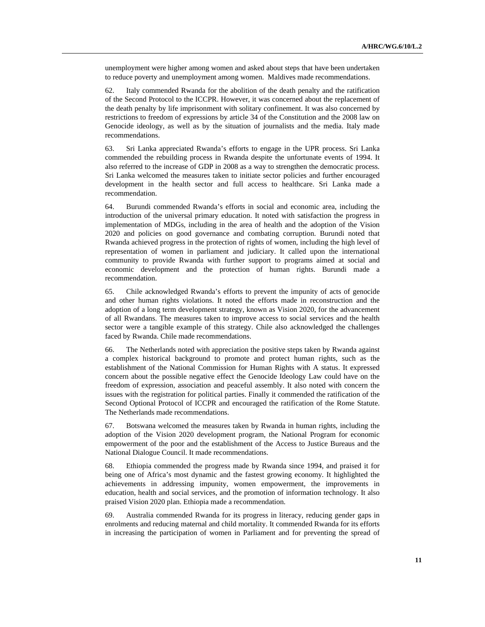unemployment were higher among women and asked about steps that have been undertaken to reduce poverty and unemployment among women. Maldives made recommendations.

62. Italy commended Rwanda for the abolition of the death penalty and the ratification of the Second Protocol to the ICCPR. However, it was concerned about the replacement of the death penalty by life imprisonment with solitary confinement. It was also concerned by restrictions to freedom of expressions by article 34 of the Constitution and the 2008 law on Genocide ideology, as well as by the situation of journalists and the media. Italy made recommendations.

63. Sri Lanka appreciated Rwanda's efforts to engage in the UPR process. Sri Lanka commended the rebuilding process in Rwanda despite the unfortunate events of 1994. It also referred to the increase of GDP in 2008 as a way to strengthen the democratic process. Sri Lanka welcomed the measures taken to initiate sector policies and further encouraged development in the health sector and full access to healthcare. Sri Lanka made a recommendation.

64. Burundi commended Rwanda's efforts in social and economic area, including the introduction of the universal primary education. It noted with satisfaction the progress in implementation of MDGs, including in the area of health and the adoption of the Vision 2020 and policies on good governance and combating corruption. Burundi noted that Rwanda achieved progress in the protection of rights of women, including the high level of representation of women in parliament and judiciary. It called upon the international community to provide Rwanda with further support to programs aimed at social and economic development and the protection of human rights. Burundi made a recommendation.

65. Chile acknowledged Rwanda's efforts to prevent the impunity of acts of genocide and other human rights violations. It noted the efforts made in reconstruction and the adoption of a long term development strategy, known as Vision 2020, for the advancement of all Rwandans. The measures taken to improve access to social services and the health sector were a tangible example of this strategy. Chile also acknowledged the challenges faced by Rwanda. Chile made recommendations.

66. The Netherlands noted with appreciation the positive steps taken by Rwanda against a complex historical background to promote and protect human rights, such as the establishment of the National Commission for Human Rights with A status. It expressed concern about the possible negative effect the Genocide Ideology Law could have on the freedom of expression, association and peaceful assembly. It also noted with concern the issues with the registration for political parties. Finally it commended the ratification of the Second Optional Protocol of ICCPR and encouraged the ratification of the Rome Statute. The Netherlands made recommendations.

67. Botswana welcomed the measures taken by Rwanda in human rights, including the adoption of the Vision 2020 development program, the National Program for economic empowerment of the poor and the establishment of the Access to Justice Bureaus and the National Dialogue Council. It made recommendations.

68. Ethiopia commended the progress made by Rwanda since 1994, and praised it for being one of Africa's most dynamic and the fastest growing economy. It highlighted the achievements in addressing impunity, women empowerment, the improvements in education, health and social services, and the promotion of information technology. It also praised Vision 2020 plan. Ethiopia made a recommendation.

69. Australia commended Rwanda for its progress in literacy, reducing gender gaps in enrolments and reducing maternal and child mortality. It commended Rwanda for its efforts in increasing the participation of women in Parliament and for preventing the spread of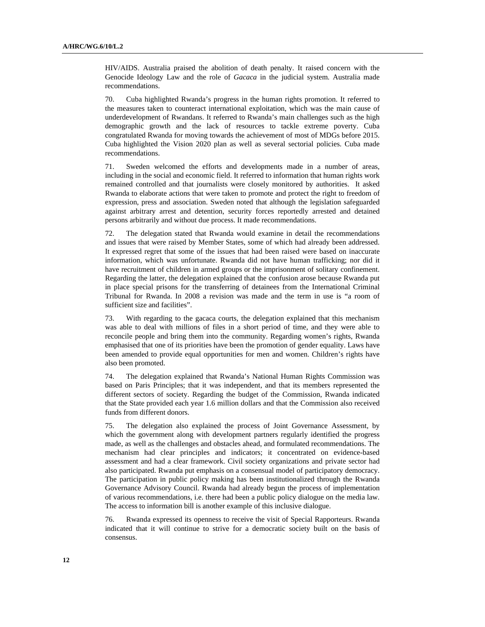HIV/AIDS. Australia praised the abolition of death penalty. It raised concern with the Genocide Ideology Law and the role of *Gacaca* in the judicial system. Australia made recommendations.

70. Cuba highlighted Rwanda's progress in the human rights promotion. It referred to the measures taken to counteract international exploitation, which was the main cause of underdevelopment of Rwandans. It referred to Rwanda's main challenges such as the high demographic growth and the lack of resources to tackle extreme poverty. Cuba congratulated Rwanda for moving towards the achievement of most of MDGs before 2015. Cuba highlighted the Vision 2020 plan as well as several sectorial policies. Cuba made recommendations.

71. Sweden welcomed the efforts and developments made in a number of areas, including in the social and economic field. It referred to information that human rights work remained controlled and that journalists were closely monitored by authorities. It asked Rwanda to elaborate actions that were taken to promote and protect the right to freedom of expression, press and association. Sweden noted that although the legislation safeguarded against arbitrary arrest and detention, security forces reportedly arrested and detained persons arbitrarily and without due process. It made recommendations.

72. The delegation stated that Rwanda would examine in detail the recommendations and issues that were raised by Member States, some of which had already been addressed. It expressed regret that some of the issues that had been raised were based on inaccurate information, which was unfortunate. Rwanda did not have human trafficking; nor did it have recruitment of children in armed groups or the imprisonment of solitary confinement. Regarding the latter, the delegation explained that the confusion arose because Rwanda put in place special prisons for the transferring of detainees from the International Criminal Tribunal for Rwanda. In 2008 a revision was made and the term in use is "a room of sufficient size and facilities".

73. With regarding to the gacaca courts, the delegation explained that this mechanism was able to deal with millions of files in a short period of time, and they were able to reconcile people and bring them into the community. Regarding women's rights, Rwanda emphasised that one of its priorities have been the promotion of gender equality. Laws have been amended to provide equal opportunities for men and women. Children's rights have also been promoted.

74. The delegation explained that Rwanda's National Human Rights Commission was based on Paris Principles; that it was independent, and that its members represented the different sectors of society. Regarding the budget of the Commission, Rwanda indicated that the State provided each year 1.6 million dollars and that the Commission also received funds from different donors.

75. The delegation also explained the process of Joint Governance Assessment, by which the government along with development partners regularly identified the progress made, as well as the challenges and obstacles ahead, and formulated recommendations. The mechanism had clear principles and indicators; it concentrated on evidence-based assessment and had a clear framework. Civil society organizations and private sector had also participated. Rwanda put emphasis on a consensual model of participatory democracy. The participation in public policy making has been institutionalized through the Rwanda Governance Advisory Council. Rwanda had already begun the process of implementation of various recommendations, i.e. there had been a public policy dialogue on the media law. The access to information bill is another example of this inclusive dialogue.

76. Rwanda expressed its openness to receive the visit of Special Rapporteurs. Rwanda indicated that it will continue to strive for a democratic society built on the basis of consensus.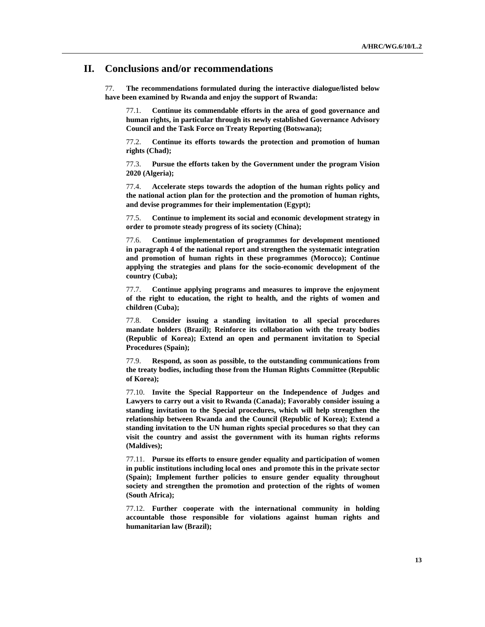#### **II. Conclusions and/or recommendations**

77. **The recommendations formulated during the interactive dialogue/listed below have been examined by Rwanda and enjoy the support of Rwanda:** 

77.1. **Continue its commendable efforts in the area of good governance and human rights, in particular through its newly established Governance Advisory Council and the Task Force on Treaty Reporting (Botswana);** 

77.2. **Continue its efforts towards the protection and promotion of human rights (Chad);** 

77.3. **Pursue the efforts taken by the Government under the program Vision 2020 (Algeria);** 

77.4. **Accelerate steps towards the adoption of the human rights policy and the national action plan for the protection and the promotion of human rights, and devise programmes for their implementation (Egypt);** 

77.5. **Continue to implement its social and economic development strategy in order to promote steady progress of its society (China);** 

77.6. **Continue implementation of programmes for development mentioned in paragraph 4 of the national report and strengthen the systematic integration and promotion of human rights in these programmes (Morocco); Continue applying the strategies and plans for the socio-economic development of the country (Cuba);** 

77.7. **Continue applying programs and measures to improve the enjoyment of the right to education, the right to health, and the rights of women and children (Cuba);** 

77.8. **Consider issuing a standing invitation to all special procedures mandate holders (Brazil); Reinforce its collaboration with the treaty bodies (Republic of Korea); Extend an open and permanent invitation to Special Procedures (Spain);** 

77.9. **Respond, as soon as possible, to the outstanding communications from the treaty bodies, including those from the Human Rights Committee (Republic of Korea);** 

77.10. **Invite the Special Rapporteur on the Independence of Judges and Lawyers to carry out a visit to Rwanda (Canada); Favorably consider issuing a standing invitation to the Special procedures, which will help strengthen the relationship between Rwanda and the Council (Republic of Korea); Extend a standing invitation to the UN human rights special procedures so that they can visit the country and assist the government with its human rights reforms (Maldives);** 

77.11. **Pursue its efforts to ensure gender equality and participation of women in public institutions including local ones and promote this in the private sector (Spain); Implement further policies to ensure gender equality throughout society and strengthen the promotion and protection of the rights of women (South Africa);** 

77.12. **Further cooperate with the international community in holding accountable those responsible for violations against human rights and humanitarian law (Brazil);**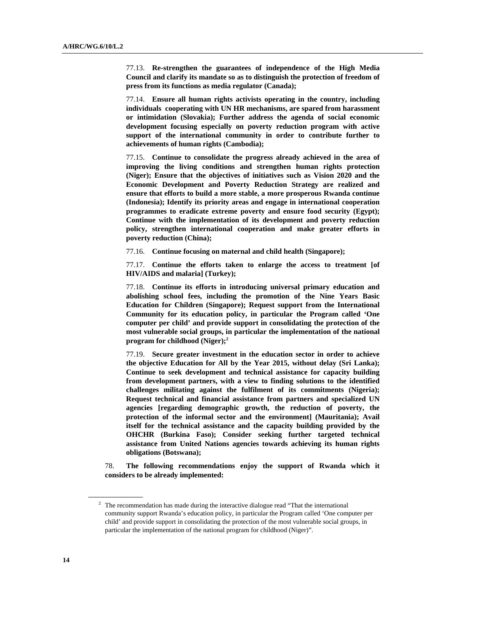77.13. **Re-strengthen the guarantees of independence of the High Media Council and clarify its mandate so as to distinguish the protection of freedom of press from its functions as media regulator (Canada);** 

77.14. **Ensure all human rights activists operating in the country, including individuals cooperating with UN HR mechanisms, are spared from harassment or intimidation (Slovakia); Further address the agenda of social economic development focusing especially on poverty reduction program with active support of the international community in order to contribute further to achievements of human rights (Cambodia);** 

77.15. **Continue to consolidate the progress already achieved in the area of improving the living conditions and strengthen human rights protection (Niger); Ensure that the objectives of initiatives such as Vision 2020 and the Economic Development and Poverty Reduction Strategy are realized and ensure that efforts to build a more stable, a more prosperous Rwanda continue (Indonesia); Identify its priority areas and engage in international cooperation programmes to eradicate extreme poverty and ensure food security (Egypt); Continue with the implementation of its development and poverty reduction policy, strengthen international cooperation and make greater efforts in poverty reduction (China);** 

77.16. **Continue focusing on maternal and child health (Singapore);** 

77.17. **Continue the efforts taken to enlarge the access to treatment [of HIV/AIDS and malaria] (Turkey);** 

77.18. **Continue its efforts in introducing universal primary education and abolishing school fees, including the promotion of the Nine Years Basic Education for Children (Singapore); Request support from the International Community for its education policy, in particular the Program called 'One computer per child' and provide support in consolidating the protection of the most vulnerable social groups, in particular the implementation of the national program for childhood (Niger);2**

77.19. **Secure greater investment in the education sector in order to achieve the objective Education for All by the Year 2015, without delay (Sri Lanka); Continue to seek development and technical assistance for capacity building from development partners, with a view to finding solutions to the identified challenges militating against the fulfilment of its commitments (Nigeria); Request technical and financial assistance from partners and specialized UN agencies [regarding demographic growth, the reduction of poverty, the protection of the informal sector and the environment] (Mauritania); Avail itself for the technical assistance and the capacity building provided by the OHCHR (Burkina Faso); Consider seeking further targeted technical assistance from United Nations agencies towards achieving its human rights obligations (Botswana);** 

78. **The following recommendations enjoy the support of Rwanda which it considers to be already implemented:** 

 $2$  The recommendation has made during the interactive dialogue read "That the international community support Rwanda's education policy, in particular the Program called 'One computer per child' and provide support in consolidating the protection of the most vulnerable social groups, in particular the implementation of the national program for childhood (Niger)".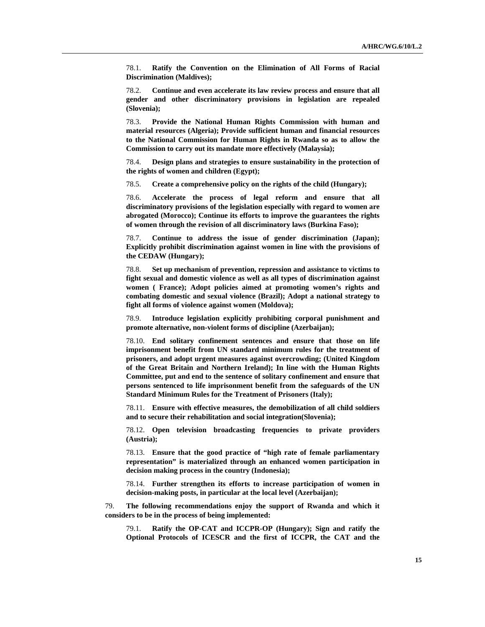78.1. **Ratify the Convention on the Elimination of All Forms of Racial Discrimination (Maldives);** 

78.2. **Continue and even accelerate its law review process and ensure that all gender and other discriminatory provisions in legislation are repealed (Slovenia);** 

78.3. **Provide the National Human Rights Commission with human and material resources (Algeria); Provide sufficient human and financial resources to the National Commission for Human Rights in Rwanda so as to allow the Commission to carry out its mandate more effectively (Malaysia);** 

78.4. **Design plans and strategies to ensure sustainability in the protection of the rights of women and children (Egypt);** 

78.5. **Create a comprehensive policy on the rights of the child (Hungary);** 

78.6. **Accelerate the process of legal reform and ensure that all discriminatory provisions of the legislation especially with regard to women are abrogated (Morocco); Continue its efforts to improve the guarantees the rights of women through the revision of all discriminatory laws (Burkina Faso);** 

78.7. **Continue to address the issue of gender discrimination (Japan); Explicitly prohibit discrimination against women in line with the provisions of the CEDAW (Hungary);** 

78.8. **Set up mechanism of prevention, repression and assistance to victims to fight sexual and domestic violence as well as all types of discrimination against women ( France); Adopt policies aimed at promoting women's rights and combating domestic and sexual violence (Brazil); Adopt a national strategy to fight all forms of violence against women (Moldova);** 

78.9. **Introduce legislation explicitly prohibiting corporal punishment and promote alternative, non-violent forms of discipline (Azerbaijan);** 

78.10. **End solitary confinement sentences and ensure that those on life imprisonment benefit from UN standard minimum rules for the treatment of prisoners, and adopt urgent measures against overcrowding; (United Kingdom of the Great Britain and Northern Ireland); In line with the Human Rights Committee, put and end to the sentence of solitary confinement and ensure that persons sentenced to life imprisonment benefit from the safeguards of the UN Standard Minimum Rules for the Treatment of Prisoners (Italy);** 

78.11. **Ensure with effective measures, the demobilization of all child soldiers and to secure their rehabilitation and social integration(Slovenia);** 

78.12. **Open television broadcasting frequencies to private providers (Austria);** 

78.13. **Ensure that the good practice of "high rate of female parliamentary representation" is materialized through an enhanced women participation in decision making process in the country (Indonesia);** 

78.14. **Further strengthen its efforts to increase participation of women in decision-making posts, in particular at the local level (Azerbaijan);** 

79. **The following recommendations enjoy the support of Rwanda and which it considers to be in the process of being implemented:**

79.1. **Ratify the OP-CAT and ICCPR-OP (Hungary); Sign and ratify the Optional Protocols of ICESCR and the first of ICCPR, the CAT and the**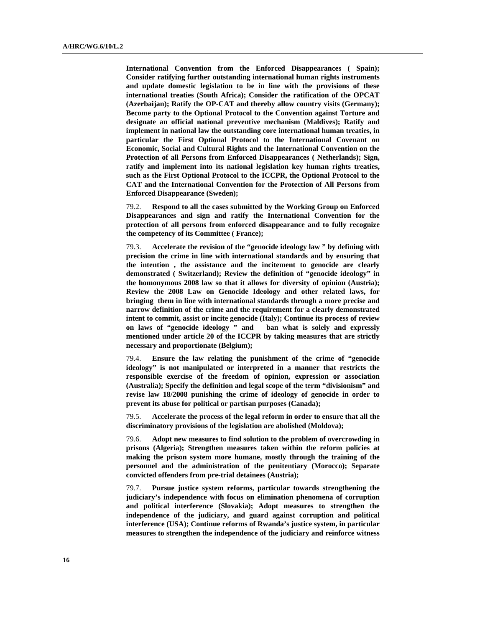**International Convention from the Enforced Disappearances ( Spain); Consider ratifying further outstanding international human rights instruments and update domestic legislation to be in line with the provisions of these international treaties (South Africa); Consider the ratification of the OPCAT (Azerbaijan); Ratify the OP-CAT and thereby allow country visits (Germany); Become party to the Optional Protocol to the Convention against Torture and designate an official national preventive mechanism (Maldives); Ratify and implement in national law the outstanding core international human treaties, in particular the First Optional Protocol to the International Covenant on Economic, Social and Cultural Rights and the International Convention on the Protection of all Persons from Enforced Disappearances ( Netherlands); Sign, ratify and implement into its national legislation key human rights treaties, such as the First Optional Protocol to the ICCPR, the Optional Protocol to the CAT and the International Convention for the Protection of All Persons from Enforced Disappearance (Sweden);** 

79.2. **Respond to all the cases submitted by the Working Group on Enforced Disappearances and sign and ratify the International Convention for the protection of all persons from enforced disappearance and to fully recognize the competency of its Committee ( France);** 

79.3. **Accelerate the revision of the "genocide ideology law " by defining with precision the crime in line with international standards and by ensuring that the intention , the assistance and the incitement to genocide are clearly demonstrated ( Switzerland); Review the definition of "genocide ideology" in the homonymous 2008 law so that it allows for diversity of opinion (Austria); Review the 2008 Law on Genocide Ideology and other related laws, for bringing them in line with international standards through a more precise and narrow definition of the crime and the requirement for a clearly demonstrated intent to commit, assist or incite genocide (Italy); Continue its process of review on laws of "genocide ideology " and ban what is solely and expressly mentioned under article 20 of the ICCPR by taking measures that are strictly necessary and proportionate (Belgium);** 

79.4. **Ensure the law relating the punishment of the crime of "genocide ideology" is not manipulated or interpreted in a manner that restricts the responsible exercise of the freedom of opinion, expression or association (Australia); Specify the definition and legal scope of the term "divisionism" and revise law 18/2008 punishing the crime of ideology of genocide in order to prevent its abuse for political or partisan purposes (Canada);** 

79.5. **Accelerate the process of the legal reform in order to ensure that all the discriminatory provisions of the legislation are abolished (Moldova);** 

79.6. **Adopt new measures to find solution to the problem of overcrowding in prisons (Algeria); Strengthen measures taken within the reform policies at making the prison system more humane, mostly through the training of the personnel and the administration of the penitentiary (Morocco); Separate convicted offenders from pre-trial detainees (Austria);** 

79.7. **Pursue justice system reforms, particular towards strengthening the judiciary's independence with focus on elimination phenomena of corruption and political interference (Slovakia); Adopt measures to strengthen the independence of the judiciary, and guard against corruption and political interference (USA); Continue reforms of Rwanda's justice system, in particular measures to strengthen the independence of the judiciary and reinforce witness**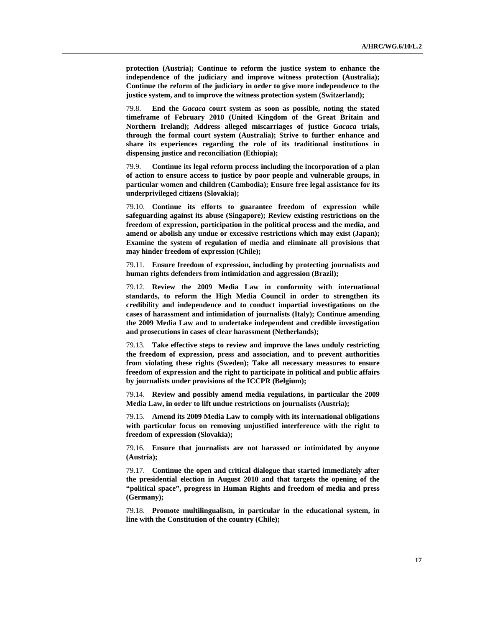**protection (Austria); Continue to reform the justice system to enhance the independence of the judiciary and improve witness protection (Australia); Continue the reform of the judiciary in order to give more independence to the justice system, and to improve the witness protection system (Switzerland);** 

79.8. **End the** *Gacaca* **court system as soon as possible, noting the stated timeframe of February 2010 (United Kingdom of the Great Britain and Northern Ireland); Address alleged miscarriages of justice** *Gacaca* **trials, through the formal court system (Australia); Strive to further enhance and share its experiences regarding the role of its traditional institutions in dispensing justice and reconciliation (Ethiopia);** 

79.9. **Continue its legal reform process including the incorporation of a plan of action to ensure access to justice by poor people and vulnerable groups, in particular women and children (Cambodia); Ensure free legal assistance for its underprivileged citizens (Slovakia);** 

79.10. **Continue its efforts to guarantee freedom of expression while safeguarding against its abuse (Singapore); Review existing restrictions on the freedom of expression, participation in the political process and the media, and amend or abolish any undue or excessive restrictions which may exist (Japan); Examine the system of regulation of media and eliminate all provisions that may hinder freedom of expression (Chile);** 

79.11. **Ensure freedom of expression, including by protecting journalists and human rights defenders from intimidation and aggression (Brazil);** 

79.12. **Review the 2009 Media Law in conformity with international standards, to reform the High Media Council in order to strengthen its credibility and independence and to conduct impartial investigations on the cases of harassment and intimidation of journalists (Italy); Continue amending the 2009 Media Law and to undertake independent and credible investigation and prosecutions in cases of clear harassment (Netherlands);** 

79.13. **Take effective steps to review and improve the laws unduly restricting the freedom of expression, press and association, and to prevent authorities from violating these rights (Sweden); Take all necessary measures to ensure freedom of expression and the right to participate in political and public affairs by journalists under provisions of the ICCPR (Belgium);** 

79.14. **Review and possibly amend media regulations, in particular the 2009 Media Law, in order to lift undue restrictions on journalists (Austria);** 

79.15. **Amend its 2009 Media Law to comply with its international obligations with particular focus on removing unjustified interference with the right to freedom of expression (Slovakia);** 

79.16. **Ensure that journalists are not harassed or intimidated by anyone (Austria);** 

79.17. **Continue the open and critical dialogue that started immediately after the presidential election in August 2010 and that targets the opening of the "political space", progress in Human Rights and freedom of media and press (Germany);** 

79.18. **Promote multilingualism, in particular in the educational system, in line with the Constitution of the country (Chile);**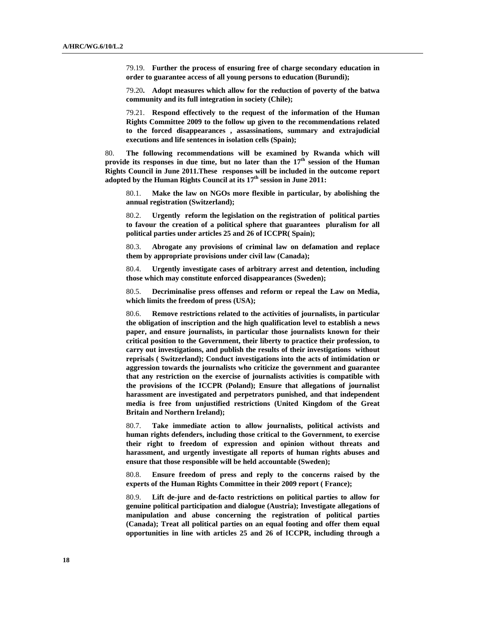79.19. **Further the process of ensuring free of charge secondary education in order to guarantee access of all young persons to education (Burundi);** 

79.20**. Adopt measures which allow for the reduction of poverty of the batwa community and its full integration in society (Chile);** 

79.21. **Respond effectively to the request of the information of the Human Rights Committee 2009 to the follow up given to the recommendations related to the forced disappearances , assassinations, summary and extrajudicial executions and life sentences in isolation cells (Spain);** 

80. **The following recommendations will be examined by Rwanda which will**  provide its responses in due time, but no later than the 17<sup>th</sup> session of the Human **Rights Council in June 2011.These responses will be included in the outcome report adopted by the Human Rights Council at its 17th session in June 2011:**

80.1. **Make the law on NGOs more flexible in particular, by abolishing the annual registration (Switzerland);**

80.2. **Urgently reform the legislation on the registration of political parties to favour the creation of a political sphere that guarantees pluralism for all political parties under articles 25 and 26 of ICCPR( Spain);**

80.3. **Abrogate any provisions of criminal law on defamation and replace them by appropriate provisions under civil law (Canada);**

80.4. **Urgently investigate cases of arbitrary arrest and detention, including those which may constitute enforced disappearances (Sweden);**

80.5. **Decriminalise press offenses and reform or repeal the Law on Media, which limits the freedom of press (USA);**

80.6. **Remove restrictions related to the activities of journalists, in particular the obligation of inscription and the high qualification level to establish a news paper, and ensure journalists, in particular those journalists known for their critical position to the Government, their liberty to practice their profession, to carry out investigations, and publish the results of their investigations without reprisals ( Switzerland); Conduct investigations into the acts of intimidation or aggression towards the journalists who criticize the government and guarantee that any restriction on the exercise of journalists activities is compatible with the provisions of the ICCPR (Poland); Ensure that allegations of journalist harassment are investigated and perpetrators punished, and that independent media is free from unjustified restrictions (United Kingdom of the Great Britain and Northern Ireland);** 

80.7. **Take immediate action to allow journalists, political activists and human rights defenders, including those critical to the Government, to exercise their right to freedom of expression and opinion without threats and harassment, and urgently investigate all reports of human rights abuses and ensure that those responsible will be held accountable (Sweden);**

80.8. **Ensure freedom of press and reply to the concerns raised by the experts of the Human Rights Committee in their 2009 report ( France);**

80.9. **Lift de-jure and de-facto restrictions on political parties to allow for genuine political participation and dialogue (Austria); Investigate allegations of manipulation and abuse concerning the registration of political parties (Canada); Treat all political parties on an equal footing and offer them equal opportunities in line with articles 25 and 26 of ICCPR, including through a**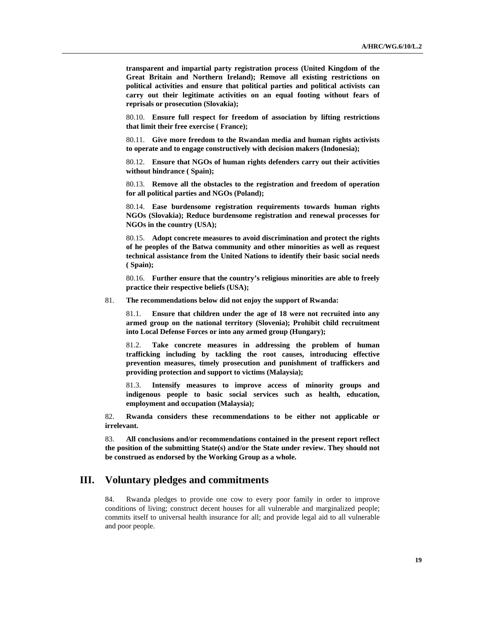**transparent and impartial party registration process (United Kingdom of the Great Britain and Northern Ireland); Remove all existing restrictions on political activities and ensure that political parties and political activists can carry out their legitimate activities on an equal footing without fears of reprisals or prosecution (Slovakia);** 

80.10. **Ensure full respect for freedom of association by lifting restrictions that limit their free exercise ( France);**

80.11. **Give more freedom to the Rwandan media and human rights activists to operate and to engage constructively with decision makers (Indonesia);** 

80.12. **Ensure that NGOs of human rights defenders carry out their activities without hindrance ( Spain);**

80.13. **Remove all the obstacles to the registration and freedom of operation for all political parties and NGOs (Poland);**

80.14. **Ease burdensome registration requirements towards human rights NGOs (Slovakia); Reduce burdensome registration and renewal processes for NGOs in the country (USA);**

80.15. **Adopt concrete measures to avoid discrimination and protect the rights of he peoples of the Batwa community and other minorities as well as request technical assistance from the United Nations to identify their basic social needs ( Spain);** 

80.16. **Further ensure that the country's religious minorities are able to freely practice their respective beliefs (USA);** 

81. **The recommendations below did not enjoy the support of Rwanda:**

81.1. **Ensure that children under the age of 18 were not recruited into any armed group on the national territory (Slovenia); Prohibit child recruitment into Local Defense Forces or into any armed group (Hungary);** 

81.2. **Take concrete measures in addressing the problem of human trafficking including by tackling the root causes, introducing effective prevention measures, timely prosecution and punishment of traffickers and providing protection and support to victims (Malaysia);**

81.3. **Intensify measures to improve access of minority groups and indigenous people to basic social services such as health, education, employment and occupation (Malaysia);**

82. **Rwanda considers these recommendations to be either not applicable or irrelevant.** 

83. **All conclusions and/or recommendations contained in the present report reflect the position of the submitting State(s) and/or the State under review. They should not be construed as endorsed by the Working Group as a whole.**

## **III. Voluntary pledges and commitments**

84. Rwanda pledges to provide one cow to every poor family in order to improve conditions of living; construct decent houses for all vulnerable and marginalized people; commits itself to universal health insurance for all; and provide legal aid to all vulnerable and poor people.